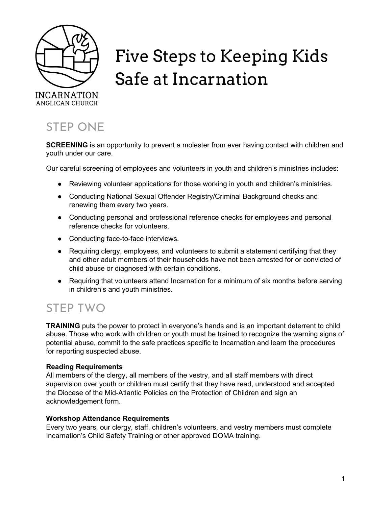

# Five Steps to Keeping Kids Safe at Incarnation

# STEP ONE

**SCREENING** is an opportunity to prevent a molester from ever having contact with children and youth under our care.

Our careful screening of employees and volunteers in youth and children's ministries includes:

- Reviewing volunteer applications for those working in youth and children's ministries.
- Conducting National Sexual Offender Registry/Criminal Background checks and renewing them every two years.
- Conducting personal and professional reference checks for employees and personal reference checks for volunteers.
- Conducting face-to-face interviews.
- Requiring clergy, employees, and volunteers to submit a statement certifying that they and other adult members of their households have not been arrested for or convicted of child abuse or diagnosed with certain conditions.
- Requiring that volunteers attend Incarnation for a minimum of six months before serving in children's and youth ministries.

# STEP TWO

**TRAINING** puts the power to protect in everyone's hands and is an important deterrent to child abuse. Those who work with children or youth must be trained to recognize the warning signs of potential abuse, commit to the safe practices specific to Incarnation and learn the procedures for reporting suspected abuse.

# **Reading Requirements**

All members of the clergy, all members of the vestry, and all staff members with direct supervision over youth or children must certify that they have read, understood and accepted the Diocese of the Mid-Atlantic Policies on the Protection of Children and sign an acknowledgement form.

# **Workshop Attendance Requirements**

Every two years, our clergy, staff, children's volunteers, and vestry members must complete Incarnation's Child Safety Training or other approved DOMA training.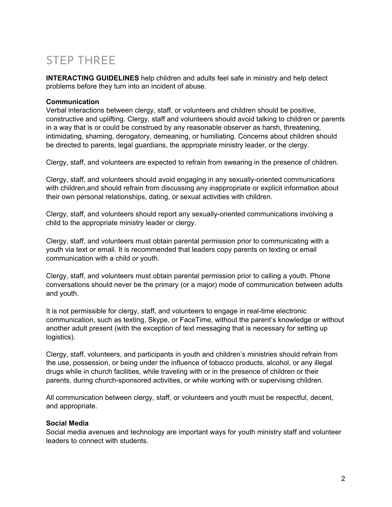# STEP THREE

**INTERACTING GUIDELINES** help children and adults feel safe in ministry and help detect problems before they turn into an incident of abuse.

#### **Communication**

Verbal interactions between clergy, staff, or volunteers and children should be positive, constructive and uplifting. Clergy, staff and volunteers should avoid talking to children or parents in a way that is or could be construed by any reasonable observer as harsh, threatening, intimidating, shaming, derogatory, demeaning, or humiliating. Concerns about children should be directed to parents, legal guardians, the appropriate ministry leader, or the clergy.

Clergy, staff, and volunteers are expected to refrain from swearing in the presence of children.

Clergy, staff, and volunteers should avoid engaging in any sexually-oriented communications with children,and should refrain from discussing any inappropriate or explicit information about their own personal relationships, dating, or sexual activities with children.

Clergy, staff, and volunteers should report any sexually-oriented communications involving a child to the appropriate ministry leader or clergy.

Clergy, staff, and volunteers must obtain parental permission prior to communicating with a youth via text or email. It is recommended that leaders copy parents on texting or email communication with a child or youth.

Clergy, staff, and volunteers must obtain parental permission prior to calling a youth. Phone conversations should never be the primary (or a major) mode of communication between adults and youth.

It is not permissible for clergy, staff, and volunteers to engage in real-time electronic communication, such as texting, Skype, or FaceTime, without the parent's knowledge or without another adult present (with the exception of text messaging that is necessary for setting up logistics).

Clergy, staff, volunteers, and participants in youth and children's ministries should refrain from the use, possession, or being under the influence of tobacco products, alcohol, or any illegal drugs while in church facilities, while traveling with or in the presence of children or their parents, during church-sponsored activities, or while working with or supervising children.

All communication between clergy, staff, or volunteers and youth must be respectful, decent, and appropriate.

#### **Social Media**

Social media avenues and technology are important ways for youth ministry staff and volunteer leaders to connect with students.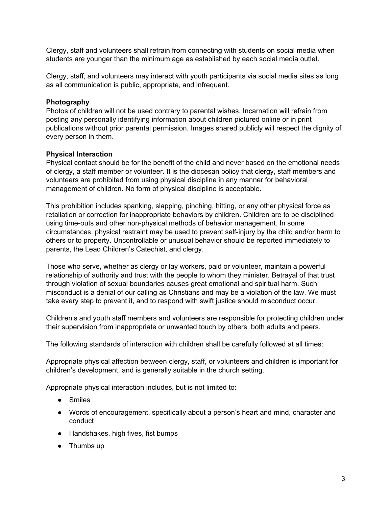Clergy, staff and volunteers shall refrain from connecting with students on social media when students are younger than the minimum age as established by each social media outlet.

Clergy, staff, and volunteers may interact with youth participants via social media sites as long as all communication is public, appropriate, and infrequent.

#### **Photography**

Photos of children will not be used contrary to parental wishes. Incarnation will refrain from posting any personally identifying information about children pictured online or in print publications without prior parental permission. Images shared publicly will respect the dignity of every person in them.

### **Physical Interaction**

Physical contact should be for the benefit of the child and never based on the emotional needs of clergy, a staff member or volunteer. It is the diocesan policy that clergy, staff members and volunteers are prohibited from using physical discipline in any manner for behavioral management of children. No form of physical discipline is acceptable.

This prohibition includes spanking, slapping, pinching, hitting, or any other physical force as retaliation or correction for inappropriate behaviors by children. Children are to be disciplined using time-outs and other non-physical methods of behavior management. In some circumstances, physical restraint may be used to prevent self-injury by the child and/or harm to others or to property. Uncontrollable or unusual behavior should be reported immediately to parents, the Lead Children's Catechist, and clergy.

Those who serve, whether as clergy or lay workers, paid or volunteer, maintain a powerful relationship of authority and trust with the people to whom they minister. Betrayal of that trust through violation of sexual boundaries causes great emotional and spiritual harm. Such misconduct is a denial of our calling as Christians and may be a violation of the law. We must take every step to prevent it, and to respond with swift justice should misconduct occur.

Children's and youth staff members and volunteers are responsible for protecting children under their supervision from inappropriate or unwanted touch by others, both adults and peers.

The following standards of interaction with children shall be carefully followed at all times:

Appropriate physical affection between clergy, staff, or volunteers and children is important for children's development, and is generally suitable in the church setting.

Appropriate physical interaction includes, but is not limited to:

- Smiles
- Words of encouragement, specifically about a person's heart and mind, character and conduct
- Handshakes, high fives, fist bumps
- Thumbs up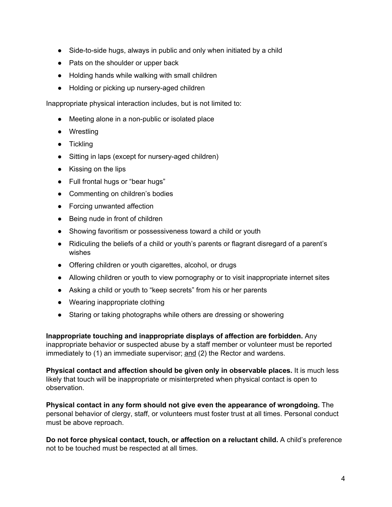- Side-to-side hugs, always in public and only when initiated by a child
- Pats on the shoulder or upper back
- Holding hands while walking with small children
- Holding or picking up nursery-aged children

Inappropriate physical interaction includes, but is not limited to:

- Meeting alone in a non-public or isolated place
- Wrestling
- Tickling
- Sitting in laps (except for nursery-aged children)
- Kissing on the lips
- Full frontal hugs or "bear hugs"
- Commenting on children's bodies
- Forcing unwanted affection
- Being nude in front of children
- Showing favoritism or possessiveness toward a child or youth
- Ridiculing the beliefs of a child or youth's parents or flagrant disregard of a parent's wishes
- Offering children or youth cigarettes, alcohol, or drugs
- Allowing children or youth to view pornography or to visit inappropriate internet sites
- Asking a child or youth to "keep secrets" from his or her parents
- Wearing inappropriate clothing
- Staring or taking photographs while others are dressing or showering

**Inappropriate touching and inappropriate displays of affection are forbidden.** Any inappropriate behavior or suspected abuse by a staff member or volunteer must be reported immediately to (1) an immediate supervisor; and (2) the Rector and wardens.

**Physical contact and affection should be given only in observable places.** It is much less likely that touch will be inappropriate or misinterpreted when physical contact is open to observation.

**Physical contact in any form should not give even the appearance of wrongdoing.** The personal behavior of clergy, staff, or volunteers must foster trust at all times. Personal conduct must be above reproach.

**Do not force physical contact, touch, or affection on a reluctant child.** A child's preference not to be touched must be respected at all times.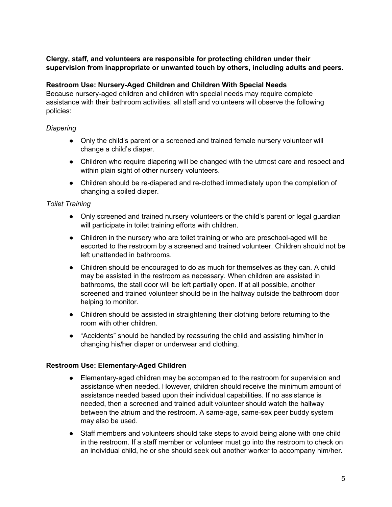### **Clergy, staff, and volunteers are responsible for protecting children under their supervision from inappropriate or unwanted touch by others, including adults and peers.**

### **Restroom Use: Nursery-Aged Children and Children With Special Needs**

Because nursery-aged children and children with special needs may require complete assistance with their bathroom activities, all staff and volunteers will observe the following policies:

### *Diapering*

- Only the child's parent or a screened and trained female nursery volunteer will change a child's diaper.
- Children who require diapering will be changed with the utmost care and respect and within plain sight of other nursery volunteers.
- Children should be re-diapered and re-clothed immediately upon the completion of changing a soiled diaper.

# *Toilet Training*

- Only screened and trained nursery volunteers or the child's parent or legal guardian will participate in toilet training efforts with children.
- Children in the nursery who are toilet training or who are preschool-aged will be escorted to the restroom by a screened and trained volunteer. Children should not be left unattended in bathrooms.
- Children should be encouraged to do as much for themselves as they can. A child may be assisted in the restroom as necessary. When children are assisted in bathrooms, the stall door will be left partially open. If at all possible, another screened and trained volunteer should be in the hallway outside the bathroom door helping to monitor.
- Children should be assisted in straightening their clothing before returning to the room with other children.
- "Accidents" should be handled by reassuring the child and assisting him/her in changing his/her diaper or underwear and clothing.

#### **Restroom Use: Elementary-Aged Children**

- Elementary-aged children may be accompanied to the restroom for supervision and assistance when needed. However, children should receive the minimum amount of assistance needed based upon their individual capabilities. If no assistance is needed, then a screened and trained adult volunteer should watch the hallway between the atrium and the restroom. A same-age, same-sex peer buddy system may also be used.
- Staff members and volunteers should take steps to avoid being alone with one child in the restroom. If a staff member or volunteer must go into the restroom to check on an individual child, he or she should seek out another worker to accompany him/her.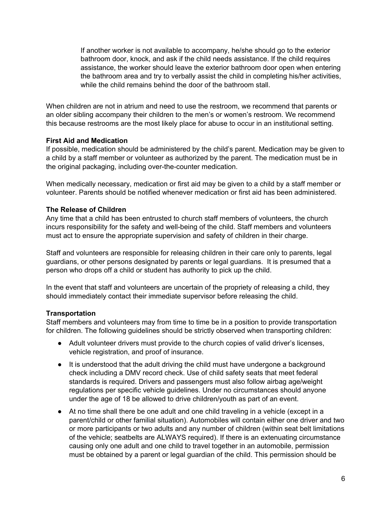If another worker is not available to accompany, he/she should go to the exterior bathroom door, knock, and ask if the child needs assistance. If the child requires assistance, the worker should leave the exterior bathroom door open when entering the bathroom area and try to verbally assist the child in completing his/her activities, while the child remains behind the door of the bathroom stall.

When children are not in atrium and need to use the restroom, we recommend that parents or an older sibling accompany their children to the men's or women's restroom. We recommend this because restrooms are the most likely place for abuse to occur in an institutional setting.

### **First Aid and Medication**

If possible, medication should be administered by the child's parent. Medication may be given to a child by a staff member or volunteer as authorized by the parent. The medication must be in the original packaging, including over-the-counter medication.

When medically necessary, medication or first aid may be given to a child by a staff member or volunteer. Parents should be notified whenever medication or first aid has been administered.

### **The Release of Children**

Any time that a child has been entrusted to church staff members of volunteers, the church incurs responsibility for the safety and well-being of the child. Staff members and volunteers must act to ensure the appropriate supervision and safety of children in their charge.

Staff and volunteers are responsible for releasing children in their care only to parents, legal guardians, or other persons designated by parents or legal guardians. It is presumed that a person who drops off a child or student has authority to pick up the child.

In the event that staff and volunteers are uncertain of the propriety of releasing a child, they should immediately contact their immediate supervisor before releasing the child.

# **Transportation**

Staff members and volunteers may from time to time be in a position to provide transportation for children. The following guidelines should be strictly observed when transporting children:

- Adult volunteer drivers must provide to the church copies of valid driver's licenses, vehicle registration, and proof of insurance.
- It is understood that the adult driving the child must have undergone a background check including a DMV record check. Use of child safety seats that meet federal standards is required. Drivers and passengers must also follow airbag age/weight regulations per specific vehicle guidelines. Under no circumstances should anyone under the age of 18 be allowed to drive children/youth as part of an event.
- At no time shall there be one adult and one child traveling in a vehicle (except in a parent/child or other familial situation). Automobiles will contain either one driver and two or more participants or two adults and any number of children (within seat belt limitations of the vehicle; seatbelts are ALWAYS required). If there is an extenuating circumstance causing only one adult and one child to travel together in an automobile, permission must be obtained by a parent or legal guardian of the child. This permission should be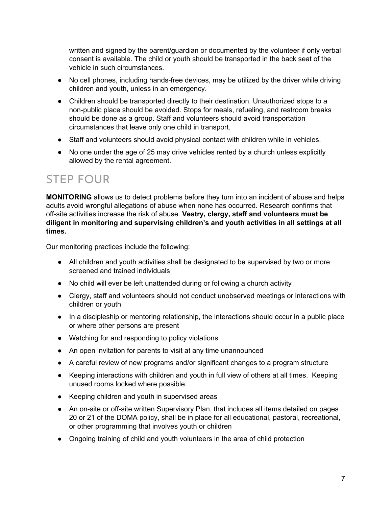written and signed by the parent/guardian or documented by the volunteer if only verbal consent is available. The child or youth should be transported in the back seat of the vehicle in such circumstances.

- No cell phones, including hands-free devices, may be utilized by the driver while driving children and youth, unless in an emergency.
- Children should be transported directly to their destination. Unauthorized stops to a non-public place should be avoided. Stops for meals, refueling, and restroom breaks should be done as a group. Staff and volunteers should avoid transportation circumstances that leave only one child in transport.
- Staff and volunteers should avoid physical contact with children while in vehicles.
- No one under the age of 25 may drive vehicles rented by a church unless explicitly allowed by the rental agreement.

# STEP FOUR

**MONITORING** allows us to detect problems before they turn into an incident of abuse and helps adults avoid wrongful allegations of abuse when none has occurred. Research confirms that off-site activities increase the risk of abuse. **Vestry, clergy, staff and volunteers must be diligent in monitoring and supervising children's and youth activities in all settings at all times.**

Our monitoring practices include the following:

- All children and youth activities shall be designated to be supervised by two or more screened and trained individuals
- No child will ever be left unattended during or following a church activity
- Clergy, staff and volunteers should not conduct unobserved meetings or interactions with children or youth
- In a discipleship or mentoring relationship, the interactions should occur in a public place or where other persons are present
- Watching for and responding to policy violations
- An open invitation for parents to visit at any time unannounced
- A careful review of new programs and/or significant changes to a program structure
- Keeping interactions with children and youth in full view of others at all times. Keeping unused rooms locked where possible.
- Keeping children and youth in supervised areas
- An on-site or off-site written Supervisory Plan, that includes all items detailed on pages 20 or 21 of the DOMA policy, shall be in place for all educational, pastoral, recreational, or other programming that involves youth or children
- Ongoing training of child and youth volunteers in the area of child protection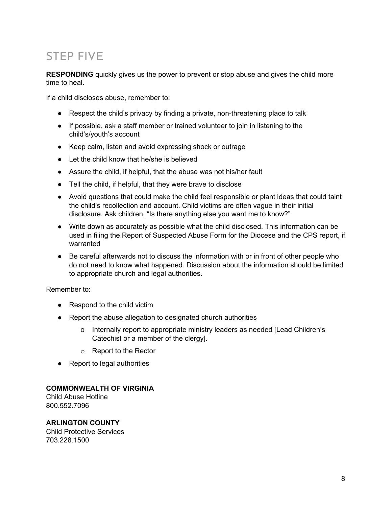# STEP FIVE

**RESPONDING** quickly gives us the power to prevent or stop abuse and gives the child more time to heal.

If a child discloses abuse, remember to:

- Respect the child's privacy by finding a private, non-threatening place to talk
- If possible, ask a staff member or trained volunteer to join in listening to the child's/youth's account
- Keep calm, listen and avoid expressing shock or outrage
- Let the child know that he/she is believed
- Assure the child, if helpful, that the abuse was not his/her fault
- Tell the child, if helpful, that they were brave to disclose
- Avoid questions that could make the child feel responsible or plant ideas that could taint the child's recollection and account. Child victims are often vague in their initial disclosure. Ask children, "Is there anything else you want me to know?"
- Write down as accurately as possible what the child disclosed. This information can be used in filing the Report of Suspected Abuse Form for the Diocese and the CPS report, if warranted
- Be careful afterwards not to discuss the information with or in front of other people who do not need to know what happened. Discussion about the information should be limited to appropriate church and legal authorities.

Remember to:

- Respond to the child victim
- Report the abuse allegation to designated church authorities
	- o Internally report to appropriate ministry leaders as needed [Lead Children's Catechist or a member of the clergy].
	- o Report to the Rector
- Report to legal authorities

#### **COMMONWEALTH OF VIRGINIA**

Child Abuse Hotline 800.552.7096

# **ARLINGTON COUNTY**

Child Protective Services 703.228.1500